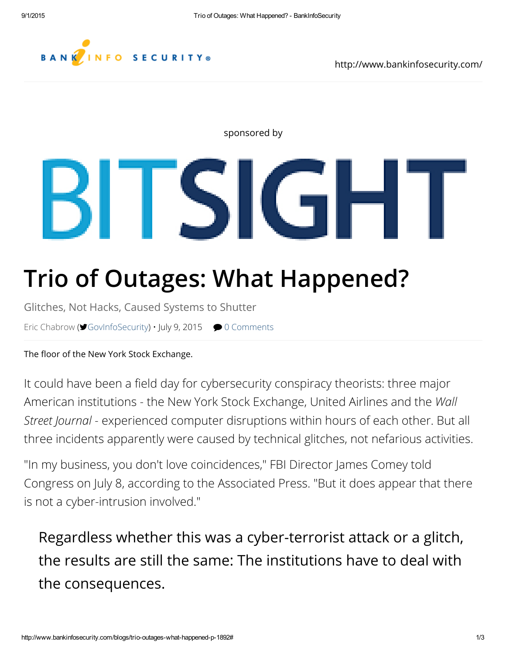#### BANK .<br>INFO SECURITY®

IGHT

#### sponsored by

# Trio of [Outages:](https://googleads.g.doubleclick.net/aclk?sa=L&ai=B675x-K3lVYKZJMSN3QHb6aPgCMPCpqsIAAAAEAEgi6uRHTgAWKuU9qWYAWDJhqeM0KTkD7IBGHd3dy5iYW5raW5mb3NlY3VyaXR5LmNvbboBCWdmcF9pbWFnZcgBA9oBR2h0dHA6Ly93d3cuYmFua2luZm9zZWN1cml0eS5jb20vYmxvZ3MvdHJpby1vdXRhZ2VzLXdoYXQtaGFwcGVuZWQtcC0xODkywAIC4AIA6gIbLzQ0NDQ2OTEvQklTX01JRF9SQl8zMDB4NjAw-ALy0R6AAwGQA-ADmAPgA6gDAcgDmQTgBAGQBgGgBhTYBwE&num=0&cid=5Gg-iw&sig=AOD64_3SbYW4hR9fZVLSmdJinVbRrtSjcQ&client=ca-pub-7856527570804860&adurl=http://info.bitsighttech.com/security-ratings-demo-ismg) What Happened?

Glitches, Not Hacks, Caused Systems to Shutter

BH SI

Eric [Chabrow](http://www.bankinfosecurity.com/authors/eric-chabrow-i-249) (♥[GovInfoSecurity\)](https://www.twitter.com/GovInfoSecurity) • July 9, 2015 ● 0 [Comments](http://www.bankinfosecurity.com/blogs/trifecta-computers-fail-at-elite-firms-p-1892/op-1#disqus_thread)

The floor of the New York Stock Exchange.

It could have been a field day for cybersecurity conspiracy theorists: three major American institutions - the New York Stock Exchange, United Airlines and the *Wall Street Journal* - experienced computer disruptions within hours of each other. But all three incidents apparently were caused by technical glitches, not nefarious activities.

"In my business, you don't love coincidences," FBI Director James Comey told Congress on July 8, according to the Associated Press. "But it does appear that there is not a cyber-intrusion involved."

Regardless whether this was a cyber-terrorist attack or a glitch, the results are still the same: The institutions have to deal with the consequences.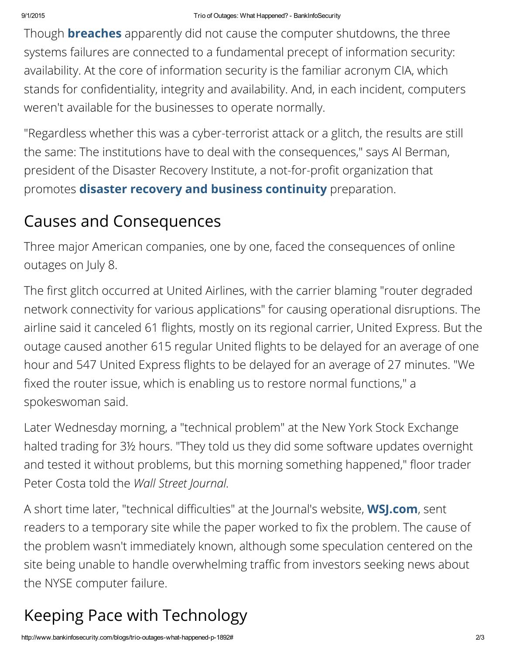Though **[breaches](http://www.bankinfosecurity.com/breaches-c-318)** apparently did not cause the computer shutdowns, the three systems failures are connected to a fundamental precept of information security: availability. At the core of information security is the familiar acronym CIA, which stands for confidentiality, integrity and availability. And, in each incident, computers weren't available for the businesses to operate normally.

"Regardless whether this was a cyber-terrorist attack or a glitch, the results are still the same: The institutions have to deal with the consequences," says Al Berman, president of the Disaster Recovery Institute, a not-for-profit organization that promotes **disaster recovery and business [continuity](http://www.bankinfosecurity.com/business-continuitydisaster-recovery-c-76)** preparation.

### Causes and Consequences

Three major American companies, one by one, faced the consequences of online outages on July 8.

The first glitch occurred at United Airlines, with the carrier blaming "router degraded network connectivity for various applications" for causing operational disruptions. The airline said it canceled 61 flights, mostly on its regional carrier, United Express. But the outage caused another 615 regular United flights to be delayed for an average of one hour and 547 United Express flights to be delayed for an average of 27 minutes. "We fixed the router issue, which is enabling us to restore normal functions," a spokeswoman said.

Later Wednesday morning, a "technical problem" at the New York Stock Exchange halted trading for 3½ hours. "They told us they did some software updates overnight and tested it without problems, but this morning something happened," floor trader Peter Costa told the *Wall Street Journal.*

A short time later, "technical difficulties" at the Journal's website, **WSJ.com**, sent readers to a temporary site while the paper worked to fix the problem. The cause of the problem wasn't immediately known, although some speculation centered on the site being unable to handle overwhelming traffic from investors seeking news about the NYSE computer failure.

## Keeping Pace with Technology